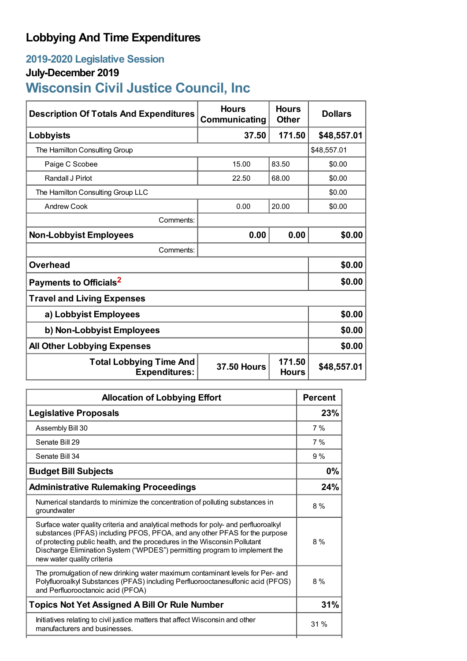# **Lobbying And Time Expenditures**

## **2019-2020 Legislative Session**

## **July-December 2019**

# **Wisconsin Civil Justice Council, Inc**

| <b>Description Of Totals And Expenditures</b>          | <b>Hours</b><br>Communicating | <b>Hours</b><br><b>Other</b> | <b>Dollars</b> |
|--------------------------------------------------------|-------------------------------|------------------------------|----------------|
| Lobbyists                                              | 37.50                         | 171.50                       | \$48,557.01    |
| The Hamilton Consulting Group                          |                               |                              | \$48,557.01    |
| Paige C Scobee                                         | 15.00                         | 83.50                        | \$0.00         |
| Randall J Pirlot                                       | 22.50                         | 68.00                        | \$0.00         |
| The Hamilton Consulting Group LLC                      |                               | \$0.00                       |                |
| Andrew Cook                                            | 0.00                          | 20.00                        | \$0.00         |
| Comments:                                              |                               |                              |                |
| <b>Non-Lobbyist Employees</b>                          | 0.00                          | 0.00                         | \$0.00         |
| Comments:                                              |                               |                              |                |
| <b>Overhead</b>                                        |                               |                              | \$0.00         |
| Payments to Officials <sup>2</sup>                     |                               |                              | \$0.00         |
| <b>Travel and Living Expenses</b>                      |                               |                              |                |
| a) Lobbyist Employees                                  |                               |                              | \$0.00         |
| b) Non-Lobbyist Employees                              |                               |                              | \$0.00         |
| <b>All Other Lobbying Expenses</b>                     |                               |                              | \$0.00         |
| <b>Total Lobbying Time And</b><br><b>Expenditures:</b> | <b>37.50 Hours</b>            | 171.50<br><b>Hours</b>       | \$48,557.01    |

| <b>Allocation of Lobbying Effort</b>                                                                                                                                                                                                                                                                                                                       |     |
|------------------------------------------------------------------------------------------------------------------------------------------------------------------------------------------------------------------------------------------------------------------------------------------------------------------------------------------------------------|-----|
| <b>Legislative Proposals</b>                                                                                                                                                                                                                                                                                                                               | 23% |
| Assembly Bill 30                                                                                                                                                                                                                                                                                                                                           | 7%  |
| Senate Bill 29                                                                                                                                                                                                                                                                                                                                             | 7%  |
| Senate Bill 34                                                                                                                                                                                                                                                                                                                                             | 9%  |
| <b>Budget Bill Subjects</b>                                                                                                                                                                                                                                                                                                                                | 0%  |
| <b>Administrative Rulemaking Proceedings</b>                                                                                                                                                                                                                                                                                                               | 24% |
| Numerical standards to minimize the concentration of polluting substances in<br>groundwater                                                                                                                                                                                                                                                                | 8%  |
| Surface water quality criteria and analytical methods for poly- and perfluoroalkyl<br>substances (PFAS) including PFOS, PFOA, and any other PFAS for the purpose<br>of protecting public health, and the procedures in the Wisconsin Pollutant<br>Discharge Elimination System ("WPDES") permitting program to implement the<br>new water quality criteria | 8%  |
| The promulgation of new drinking water maximum contaminant levels for Per- and<br>Polyfluoroalkyl Substances (PFAS) including Perfluorooctanesulfonic acid (PFOS)<br>and Perfluorooctanoic acid (PFOA)                                                                                                                                                     | 8%  |
| <b>Topics Not Yet Assigned A Bill Or Rule Number</b>                                                                                                                                                                                                                                                                                                       | 31% |
| Initiatives relating to civil justice matters that affect Wisconsin and other<br>manufacturers and businesses.                                                                                                                                                                                                                                             | 31% |